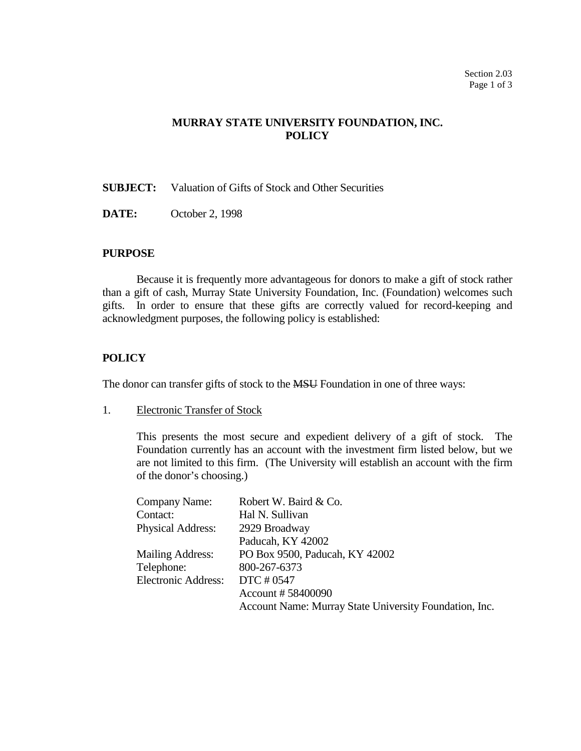# **MURRAY STATE UNIVERSITY FOUNDATION, INC. POLICY**

**SUBJECT:** Valuation of Gifts of Stock and Other Securities

**DATE:** October 2, 1998

#### **PURPOSE**

Because it is frequently more advantageous for donors to make a gift of stock rather than a gift of cash, Murray State University Foundation, Inc. (Foundation) welcomes such gifts. In order to ensure that these gifts are correctly valued for record-keeping and acknowledgment purposes, the following policy is established:

# **POLICY**

The donor can transfer gifts of stock to the **MSU** Foundation in one of three ways:

1. Electronic Transfer of Stock

This presents the most secure and expedient delivery of a gift of stock. The Foundation currently has an account with the investment firm listed below, but we are not limited to this firm. (The University will establish an account with the firm of the donor's choosing.)

| Company Name:              | Robert W. Baird & Co.                                  |
|----------------------------|--------------------------------------------------------|
| Contact:                   | Hal N. Sullivan                                        |
| <b>Physical Address:</b>   | 2929 Broadway                                          |
|                            | Paducah, KY 42002                                      |
| <b>Mailing Address:</b>    | PO Box 9500, Paducah, KY 42002                         |
| Telephone:                 | 800-267-6373                                           |
| <b>Electronic Address:</b> | DTC # 0547                                             |
|                            | Account #58400090                                      |
|                            | Account Name: Murray State University Foundation, Inc. |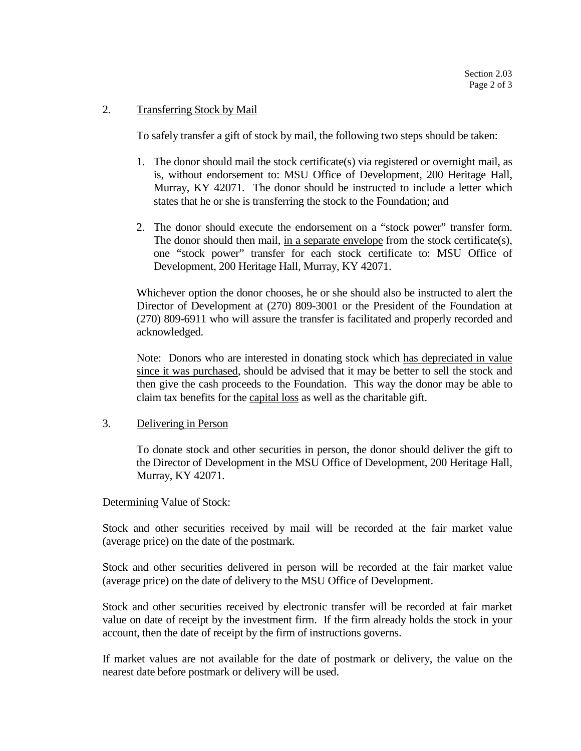### 2. Transferring Stock by Mail

To safely transfer a gift of stock by mail, the following two steps should be taken:

- 1. The donor should mail the stock certificate(s) via registered or overnight mail, as is, without endorsement to: MSU Office of Development, 200 Heritage Hall, Murray, KY 42071. The donor should be instructed to include a letter which states that he or she is transferring the stock to the Foundation; and
- 2. The donor should execute the endorsement on a "stock power" transfer form. The donor should then mail, in a separate envelope from the stock certificate(s), one "stock power" transfer for each stock certificate to: MSU Office of Development, 200 Heritage Hall, Murray, KY 42071.

Whichever option the donor chooses, he or she should also be instructed to alert the Director of Development at (270) 809-3001 or the President of the Foundation at (270) 809-6911 who will assure the transfer is facilitated and properly recorded and acknowledged.

Note: Donors who are interested in donating stock which has depreciated in value since it was purchased, should be advised that it may be better to sell the stock and then give the cash proceeds to the Foundation. This way the donor may be able to claim tax benefits for the capital loss as well as the charitable gift.

#### 3. Delivering in Person

To donate stock and other securities in person, the donor should deliver the gift to the Director of Development in the MSU Office of Development, 200 Heritage Hall, Murray, KY 42071.

Determining Value of Stock:

Stock and other securities received by mail will be recorded at the fair market value (average price) on the date of the postmark.

Stock and other securities delivered in person will be recorded at the fair market value (average price) on the date of delivery to the MSU Office of Development.

Stock and other securities received by electronic transfer will be recorded at fair market value on date of receipt by the investment firm. If the firm already holds the stock in your account, then the date of receipt by the firm of instructions governs.

If market values are not available for the date of postmark or delivery, the value on the nearest date before postmark or delivery will be used.